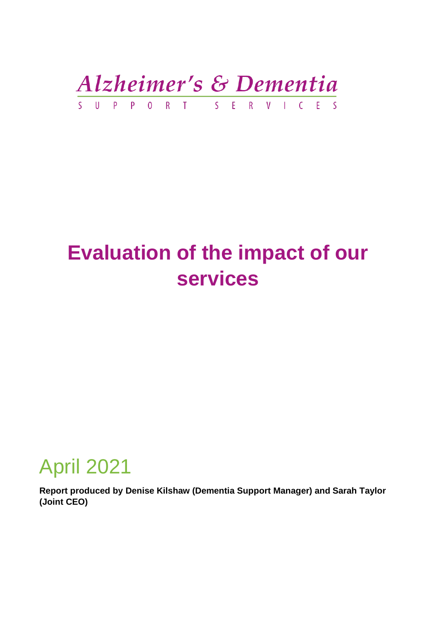Alzheimer's & Dementia S U P P O R T S E R V I C E S

# **Evaluation of the impact of our services**

# April 2021

**Report produced by Denise Kilshaw (Dementia Support Manager) and Sarah Taylor (Joint CEO)**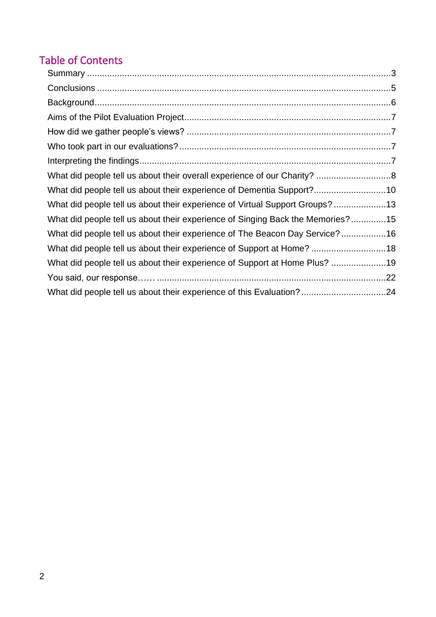# Table of Contents

| What did people tell us about their experience of Dementia Support?10          |  |
|--------------------------------------------------------------------------------|--|
| What did people tell us about their experience of Virtual Support Groups? 13   |  |
| What did people tell us about their experience of Singing Back the Memories?15 |  |
| What did people tell us about their experience of The Beacon Day Service?16    |  |
| What did people tell us about their experience of Support at Home? 18          |  |
|                                                                                |  |
|                                                                                |  |
|                                                                                |  |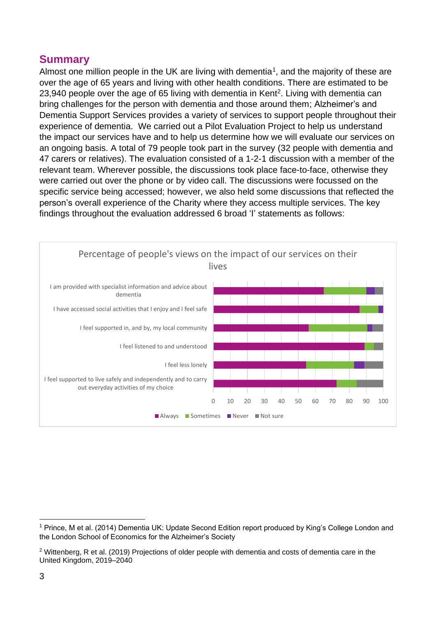### <span id="page-2-0"></span>**Summary**

Almost one million people in the UK are living with dementia<sup>1</sup>, and the majority of these are over the age of 65 years and living with other health conditions. There are estimated to be 23,940 people over the age of 65 living with dementia in Kent<sup>2</sup>. Living with dementia can bring challenges for the person with dementia and those around them; Alzheimer's and Dementia Support Services provides a variety of services to support people throughout their experience of dementia. We carried out a Pilot Evaluation Project to help us understand the impact our services have and to help us determine how we will evaluate our services on an ongoing basis. A total of 79 people took part in the survey (32 people with dementia and 47 carers or relatives). The evaluation consisted of a 1-2-1 discussion with a member of the relevant team. Wherever possible, the discussions took place face-to-face, otherwise they were carried out over the phone or by video call. The discussions were focussed on the specific service being accessed; however, we also held some discussions that reflected the person's overall experience of the Charity where they access multiple services. The key findings throughout the evaluation addressed 6 broad 'I' statements as follows:



<sup>1</sup> Prince, M et al. (2014) Dementia UK: Update Second Edition report produced by King's College London and the London School of Economics for the Alzheimer's Society

 $2$  Wittenberg, R et al. (2019) Projections of older people with dementia and costs of dementia care in the United Kingdom, 2019–2040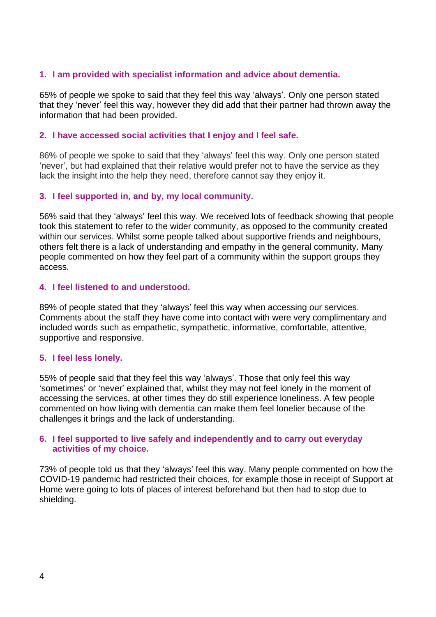### **1. I am provided with specialist information and advice about dementia.**

65% of people we spoke to said that they feel this way 'always'. Only one person stated that they 'never' feel this way, however they did add that their partner had thrown away the information that had been provided.

### **2. I have accessed social activities that I enjoy and I feel safe.**

86% of people we spoke to said that they 'always' feel this way. Only one person stated 'never', but had explained that their relative would prefer not to have the service as they lack the insight into the help they need, therefore cannot say they enjoy it.

### **3. I feel supported in, and by, my local community.**

56% said that they 'always' feel this way. We received lots of feedback showing that people took this statement to refer to the wider community, as opposed to the community created within our services. Whilst some people talked about supportive friends and neighbours, others felt there is a lack of understanding and empathy in the general community. Many people commented on how they feel part of a community within the support groups they access.

#### **4. I feel listened to and understood.**

89% of people stated that they 'always' feel this way when accessing our services. Comments about the staff they have come into contact with were very complimentary and included words such as empathetic, sympathetic, informative, comfortable, attentive, supportive and responsive.

#### **5. I feel less lonely.**

55% of people said that they feel this way 'always'. Those that only feel this way 'sometimes' or 'never' explained that, whilst they may not feel lonely in the moment of accessing the services, at other times they do still experience loneliness. A few people commented on how living with dementia can make them feel lonelier because of the challenges it brings and the lack of understanding.

#### **6. I feel supported to live safely and independently and to carry out everyday activities of my choice.**

73% of people told us that they 'always' feel this way. Many people commented on how the COVID-19 pandemic had restricted their choices, for example those in receipt of Support at Home were going to lots of places of interest beforehand but then had to stop due to shielding.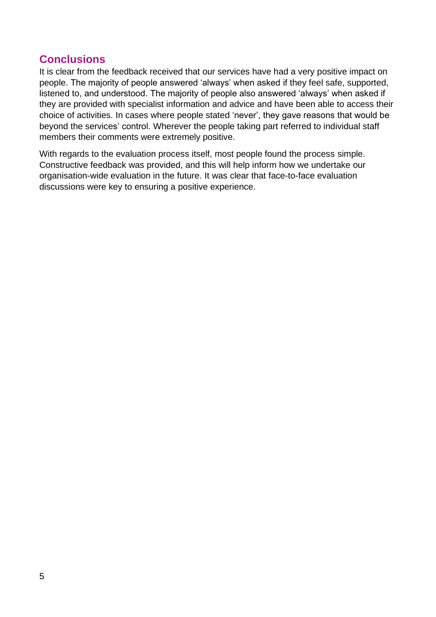### <span id="page-4-0"></span>**Conclusions**

It is clear from the feedback received that our services have had a very positive impact on people. The majority of people answered 'always' when asked if they feel safe, supported, listened to, and understood. The majority of people also answered 'always' when asked if they are provided with specialist information and advice and have been able to access their choice of activities. In cases where people stated 'never', they gave reasons that would be beyond the services' control. Wherever the people taking part referred to individual staff members their comments were extremely positive.

With regards to the evaluation process itself, most people found the process simple. Constructive feedback was provided, and this will help inform how we undertake our organisation-wide evaluation in the future. It was clear that face-to-face evaluation discussions were key to ensuring a positive experience.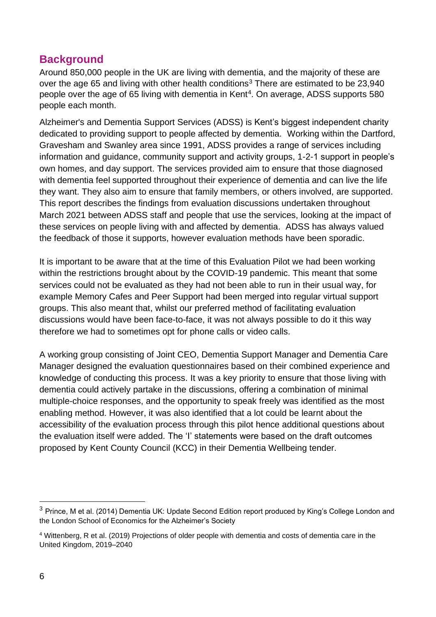## <span id="page-5-0"></span>**Background**

Around 850,000 people in the UK are living with dementia, and the majority of these are over the age 65 and living with other health conditions<sup>3</sup> There are estimated to be 23,940 people over the age of 65 living with dementia in Kent<sup>4</sup>. On average, ADSS supports 580 people each month.

Alzheimer's and Dementia Support Services (ADSS) is Kent's biggest independent charity dedicated to providing support to people affected by dementia. Working within the Dartford, Gravesham and Swanley area since 1991, ADSS provides a range of services including information and guidance, community support and activity groups, 1-2-1 support in people's own homes, and day support. The services provided aim to ensure that those diagnosed with dementia feel supported throughout their experience of dementia and can live the life they want. They also aim to ensure that family members, or others involved, are supported. This report describes the findings from evaluation discussions undertaken throughout March 2021 between ADSS staff and people that use the services, looking at the impact of these services on people living with and affected by dementia. ADSS has always valued the feedback of those it supports, however evaluation methods have been sporadic.

It is important to be aware that at the time of this Evaluation Pilot we had been working within the restrictions brought about by the COVID-19 pandemic. This meant that some services could not be evaluated as they had not been able to run in their usual way, for example Memory Cafes and Peer Support had been merged into regular virtual support groups. This also meant that, whilst our preferred method of facilitating evaluation discussions would have been face-to-face, it was not always possible to do it this way therefore we had to sometimes opt for phone calls or video calls.

A working group consisting of Joint CEO, Dementia Support Manager and Dementia Care Manager designed the evaluation questionnaires based on their combined experience and knowledge of conducting this process. It was a key priority to ensure that those living with dementia could actively partake in the discussions, offering a combination of minimal multiple-choice responses, and the opportunity to speak freely was identified as the most enabling method. However, it was also identified that a lot could be learnt about the accessibility of the evaluation process through this pilot hence additional questions about the evaluation itself were added. The 'I' statements were based on the draft outcomes proposed by Kent County Council (KCC) in their Dementia Wellbeing tender.

<sup>&</sup>lt;sup>3</sup> Prince, M et al. (2014) Dementia UK: Update Second Edition report produced by King's College London and the London School of Economics for the Alzheimer's Society

<sup>4</sup> Wittenberg, R et al. (2019) Projections of older people with dementia and costs of dementia care in the United Kingdom, 2019–2040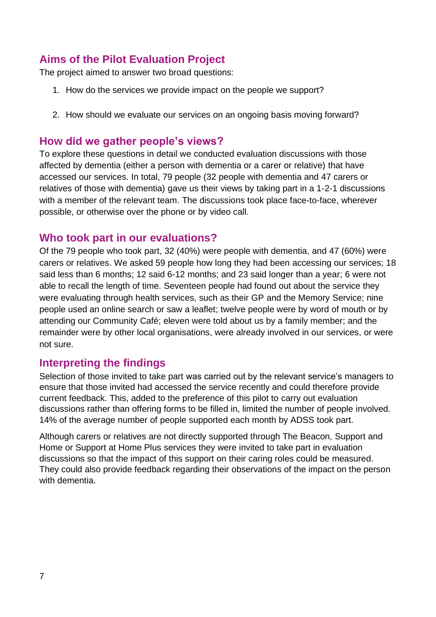# <span id="page-6-0"></span>**Aims of the Pilot Evaluation Project**

The project aimed to answer two broad questions:

- 1. How do the services we provide impact on the people we support?
- 2. How should we evaluate our services on an ongoing basis moving forward?

### <span id="page-6-1"></span>**How did we gather people's views?**

To explore these questions in detail we conducted evaluation discussions with those affected by dementia (either a person with dementia or a carer or relative) that have accessed our services. In total, 79 people (32 people with dementia and 47 carers or relatives of those with dementia) gave us their views by taking part in a 1-2-1 discussions with a member of the relevant team. The discussions took place face-to-face, wherever possible, or otherwise over the phone or by video call.

### <span id="page-6-2"></span>**Who took part in our evaluations?**

Of the 79 people who took part, 32 (40%) were people with dementia, and 47 (60%) were carers or relatives. We asked 59 people how long they had been accessing our services; 18 said less than 6 months; 12 said 6-12 months; and 23 said longer than a year; 6 were not able to recall the length of time. Seventeen people had found out about the service they were evaluating through health services, such as their GP and the Memory Service; nine people used an online search or saw a leaflet; twelve people were by word of mouth or by attending our Community Café; eleven were told about us by a family member; and the remainder were by other local organisations, were already involved in our services, or were not sure.

### <span id="page-6-3"></span>**Interpreting the findings**

Selection of those invited to take part was carried out by the relevant service's managers to ensure that those invited had accessed the service recently and could therefore provide current feedback. This, added to the preference of this pilot to carry out evaluation discussions rather than offering forms to be filled in, limited the number of people involved. 14% of the average number of people supported each month by ADSS took part.

Although carers or relatives are not directly supported through The Beacon, Support and Home or Support at Home Plus services they were invited to take part in evaluation discussions so that the impact of this support on their caring roles could be measured. They could also provide feedback regarding their observations of the impact on the person with dementia.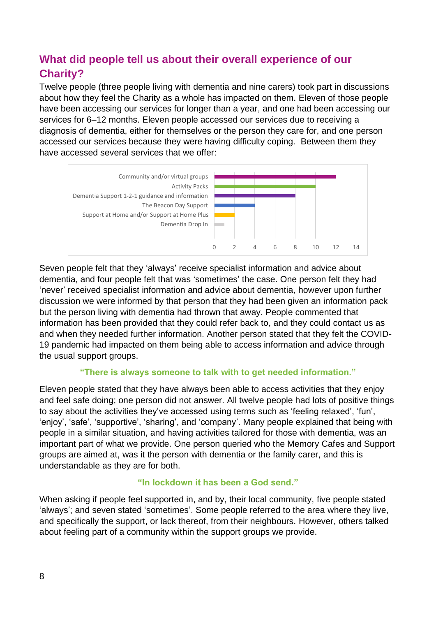# <span id="page-7-0"></span>**What did people tell us about their overall experience of our Charity?**

Twelve people (three people living with dementia and nine carers) took part in discussions about how they feel the Charity as a whole has impacted on them. Eleven of those people have been accessing our services for longer than a year, and one had been accessing our services for 6–12 months. Eleven people accessed our services due to receiving a diagnosis of dementia, either for themselves or the person they care for, and one person accessed our services because they were having difficulty coping. Between them they have accessed several services that we offer:



Seven people felt that they 'always' receive specialist information and advice about dementia, and four people felt that was 'sometimes' the case. One person felt they had 'never' received specialist information and advice about dementia, however upon further discussion we were informed by that person that they had been given an information pack but the person living with dementia had thrown that away. People commented that information has been provided that they could refer back to, and they could contact us as and when they needed further information. Another person stated that they felt the COVID-19 pandemic had impacted on them being able to access information and advice through the usual support groups.

### **"There is always someone to talk with to get needed information."**

Eleven people stated that they have always been able to access activities that they enjoy and feel safe doing; one person did not answer. All twelve people had lots of positive things to say about the activities they've accessed using terms such as 'feeling relaxed', 'fun', 'enjoy', 'safe', 'supportive', 'sharing', and 'company'. Many people explained that being with people in a similar situation, and having activities tailored for those with dementia, was an important part of what we provide. One person queried who the Memory Cafes and Support groups are aimed at, was it the person with dementia or the family carer, and this is understandable as they are for both.

### **"In lockdown it has been a God send."**

When asking if people feel supported in, and by, their local community, five people stated 'always'; and seven stated 'sometimes'. Some people referred to the area where they live, and specifically the support, or lack thereof, from their neighbours. However, others talked about feeling part of a community within the support groups we provide.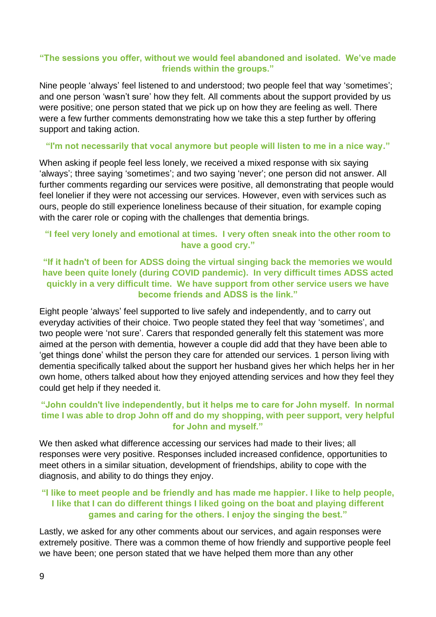### **"The sessions you offer, without we would feel abandoned and isolated. We've made friends within the groups."**

Nine people 'always' feel listened to and understood; two people feel that way 'sometimes'; and one person 'wasn't sure' how they felt. All comments about the support provided by us were positive; one person stated that we pick up on how they are feeling as well. There were a few further comments demonstrating how we take this a step further by offering support and taking action.

#### **"I'm not necessarily that vocal anymore but people will listen to me in a nice way."**

When asking if people feel less lonely, we received a mixed response with six saying 'always'; three saying 'sometimes'; and two saying 'never'; one person did not answer. All further comments regarding our services were positive, all demonstrating that people would feel lonelier if they were not accessing our services. However, even with services such as ours, people do still experience loneliness because of their situation, for example coping with the carer role or coping with the challenges that dementia brings.

### **"I feel very lonely and emotional at times. I very often sneak into the other room to have a good cry."**

### **"If it hadn't of been for ADSS doing the virtual singing back the memories we would have been quite lonely (during COVID pandemic). In very difficult times ADSS acted quickly in a very difficult time. We have support from other service users we have become friends and ADSS is the link."**

Eight people 'always' feel supported to live safely and independently, and to carry out everyday activities of their choice. Two people stated they feel that way 'sometimes', and two people were 'not sure'. Carers that responded generally felt this statement was more aimed at the person with dementia, however a couple did add that they have been able to 'get things done' whilst the person they care for attended our services. 1 person living with dementia specifically talked about the support her husband gives her which helps her in her own home, others talked about how they enjoyed attending services and how they feel they could get help if they needed it.

### **"John couldn't live independently, but it helps me to care for John myself. In normal time I was able to drop John off and do my shopping, with peer support, very helpful for John and myself."**

We then asked what difference accessing our services had made to their lives; all responses were very positive. Responses included increased confidence, opportunities to meet others in a similar situation, development of friendships, ability to cope with the diagnosis, and ability to do things they enjoy.

### **"I like to meet people and be friendly and has made me happier. I like to help people, I like that I can do different things I liked going on the boat and playing different games and caring for the others. I enjoy the singing the best."**

Lastly, we asked for any other comments about our services, and again responses were extremely positive. There was a common theme of how friendly and supportive people feel we have been; one person stated that we have helped them more than any other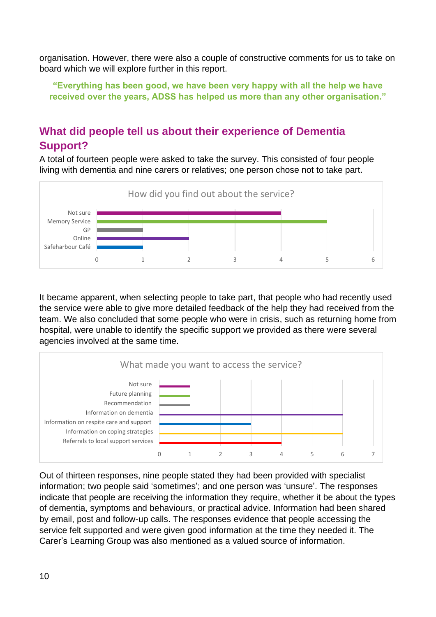organisation. However, there were also a couple of constructive comments for us to take on board which we will explore further in this report.

**"Everything has been good, we have been very happy with all the help we have received over the years, ADSS has helped us more than any other organisation."**

# <span id="page-9-0"></span>**What did people tell us about their experience of Dementia Support?**

A total of fourteen people were asked to take the survey. This consisted of four people living with dementia and nine carers or relatives; one person chose not to take part.



It became apparent, when selecting people to take part, that people who had recently used the service were able to give more detailed feedback of the help they had received from the team. We also concluded that some people who were in crisis, such as returning home from hospital, were unable to identify the specific support we provided as there were several agencies involved at the same time.



Out of thirteen responses, nine people stated they had been provided with specialist information; two people said 'sometimes'; and one person was 'unsure'. The responses indicate that people are receiving the information they require, whether it be about the types of dementia, symptoms and behaviours, or practical advice. Information had been shared by email, post and follow-up calls. The responses evidence that people accessing the service felt supported and were given good information at the time they needed it. The Carer's Learning Group was also mentioned as a valued source of information.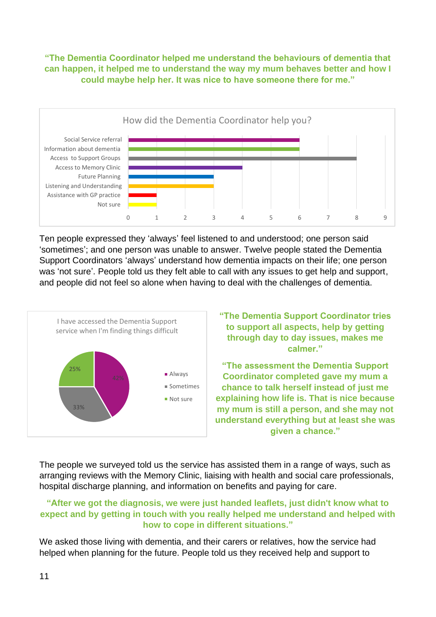### **"The Dementia Coordinator helped me understand the behaviours of dementia that can happen, it helped me to understand the way my mum behaves better and how I could maybe help her. It was nice to have someone there for me."**



Ten people expressed they 'always' feel listened to and understood; one person said 'sometimes'; and one person was unable to answer. Twelve people stated the Dementia Support Coordinators 'always' understand how dementia impacts on their life; one person was 'not sure'. People told us they felt able to call with any issues to get help and support, and people did not feel so alone when having to deal with the challenges of dementia.



**"The Dementia Support Coordinator tries to support all aspects, help by getting through day to day issues, makes me calmer."**

**"The assessment the Dementia Support Coordinator completed gave my mum a chance to talk herself instead of just me explaining how life is. That is nice because my mum is still a person, and she may not understand everything but at least she was given a chance."**

The people we surveyed told us the service has assisted them in a range of ways, such as arranging reviews with the Memory Clinic, liaising with health and social care professionals, hospital discharge planning, and information on benefits and paying for care.

### **"After we got the diagnosis, we were just handed leaflets, just didn't know what to expect and by getting in touch with you really helped me understand and helped with how to cope in different situations."**

We asked those living with dementia, and their carers or relatives, how the service had helped when planning for the future. People told us they received help and support to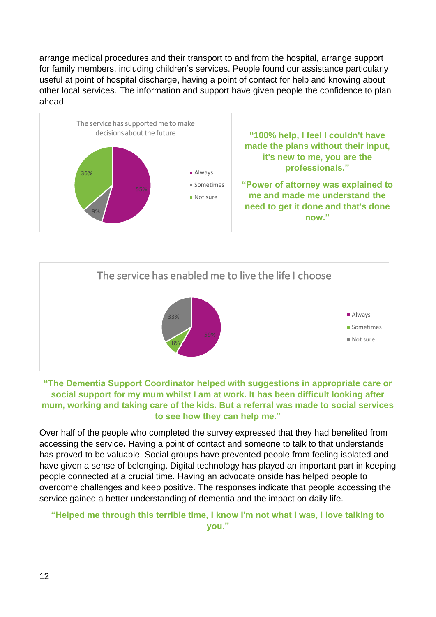arrange medical procedures and their transport to and from the hospital, arrange support for family members, including children's services. People found our assistance particularly useful at point of hospital discharge, having a point of contact for help and knowing about other local services. The information and support have given people the confidence to plan ahead.





### **"The Dementia Support Coordinator helped with suggestions in appropriate care or social support for my mum whilst I am at work. It has been difficult looking after mum, working and taking care of the kids. But a referral was made to social services to see how they can help me."**

Over half of the people who completed the survey expressed that they had benefited from accessing the service**.** Having a point of contact and someone to talk to that understands has proved to be valuable. Social groups have prevented people from feeling isolated and have given a sense of belonging. Digital technology has played an important part in keeping people connected at a crucial time. Having an advocate onside has helped people to overcome challenges and keep positive. The responses indicate that people accessing the service gained a better understanding of dementia and the impact on daily life.

### **"Helped me through this terrible time, I know I'm not what I was, I love talking to you."**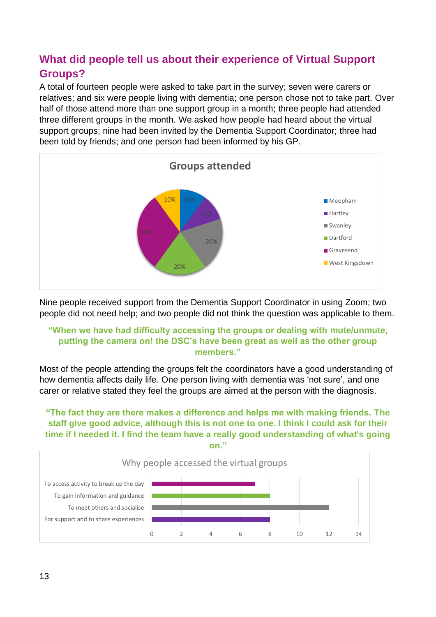# <span id="page-12-0"></span>**What did people tell us about their experience of Virtual Support Groups?**

A total of fourteen people were asked to take part in the survey; seven were carers or relatives; and six were people living with dementia; one person chose not to take part. Over half of those attend more than one support group in a month; three people had attended three different groups in the month. We asked how people had heard about the virtual support groups; nine had been invited by the Dementia Support Coordinator; three had been told by friends; and one person had been informed by his GP.



Nine people received support from the Dementia Support Coordinator in using Zoom; two people did not need help; and two people did not think the question was applicable to them.

### **"When we have had difficulty accessing the groups or dealing with mute/unmute, putting the camera on! the DSC's have been great as well as the other group members."**

Most of the people attending the groups felt the coordinators have a good understanding of how dementia affects daily life. One person living with dementia was 'not sure', and one carer or relative stated they feel the groups are aimed at the person with the diagnosis.

### **"The fact they are there makes a difference and helps me with making friends. The staff give good advice, although this is not one to one. I think I could ask for their time if I needed it. I find the team have a really good understanding of what's going on."**

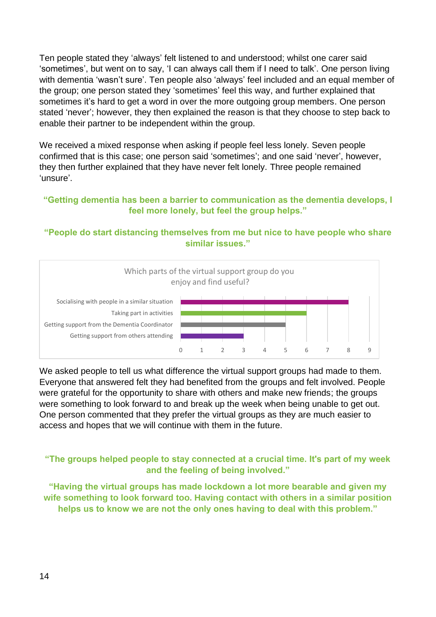Ten people stated they 'always' felt listened to and understood; whilst one carer said 'sometimes', but went on to say, 'I can always call them if I need to talk'. One person living with dementia 'wasn't sure'. Ten people also 'always' feel included and an equal member of the group; one person stated they 'sometimes' feel this way, and further explained that sometimes it's hard to get a word in over the more outgoing group members. One person stated 'never'; however, they then explained the reason is that they choose to step back to enable their partner to be independent within the group.

We received a mixed response when asking if people feel less lonely. Seven people confirmed that is this case; one person said 'sometimes'; and one said 'never', however, they then further explained that they have never felt lonely. Three people remained 'unsure'.

### **"Getting dementia has been a barrier to communication as the dementia develops, I feel more lonely, but feel the group helps."**

### **"People do start distancing themselves from me but nice to have people who share similar issues."**



We asked people to tell us what difference the virtual support groups had made to them. Everyone that answered felt they had benefited from the groups and felt involved. People were grateful for the opportunity to share with others and make new friends; the groups were something to look forward to and break up the week when being unable to get out. One person commented that they prefer the virtual groups as they are much easier to access and hopes that we will continue with them in the future.

### **"The groups helped people to stay connected at a crucial time. It's part of my week and the feeling of being involved."**

**"Having the virtual groups has made lockdown a lot more bearable and given my wife something to look forward too. Having contact with others in a similar position helps us to know we are not the only ones having to deal with this problem."**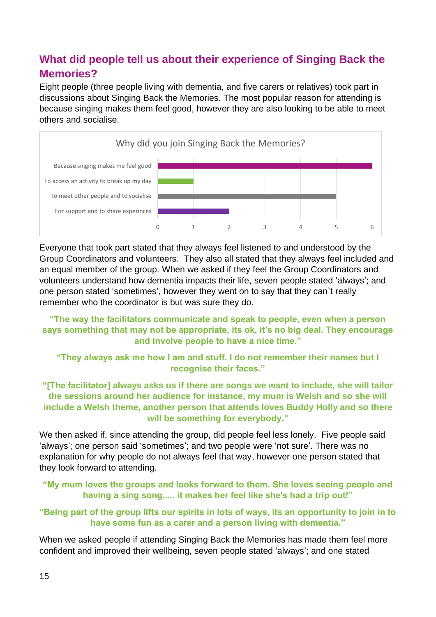# <span id="page-14-0"></span>**What did people tell us about their experience of Singing Back the Memories?**

Eight people (three people living with dementia, and five carers or relatives) took part in discussions about Singing Back the Memories. The most popular reason for attending is because singing makes them feel good, however they are also looking to be able to meet others and socialise.



Everyone that took part stated that they always feel listened to and understood by the Group Coordinators and volunteers. They also all stated that they always feel included and an equal member of the group. When we asked if they feel the Group Coordinators and volunteers understand how dementia impacts their life, seven people stated 'always'; and one person stated 'sometimes', however they went on to say that they can`t really remember who the coordinator is but was sure they do.

**"The way the facilitators communicate and speak to people, even when a person says something that may not be appropriate, its ok, it's no big deal. They encourage and involve people to have a nice time."**

**"They always ask me how I am and stuff. I do not remember their names but I recognise their faces."**

**"[The facilitator] always asks us if there are songs we want to include, she will tailor the sessions around her audience for instance, my mum is Welsh and so she will include a Welsh theme, another person that attends loves Buddy Holly and so there will be something for everybody."**

We then asked if, since attending the group, did people feel less lonely. Five people said 'always'; one person said 'sometimes'; and two people were 'not sure'. There was no explanation for why people do not always feel that way, however one person stated that they look forward to attending.

### **"My mum loves the groups and looks forward to them. She loves seeing people and having a sing song..... it makes her feel like she's had a trip out!"**

### **"Being part of the group lifts our spirits in lots of ways, its an opportunity to join in to have some fun as a carer and a person living with dementia."**

When we asked people if attending Singing Back the Memories has made them feel more confident and improved their wellbeing, seven people stated 'always'; and one stated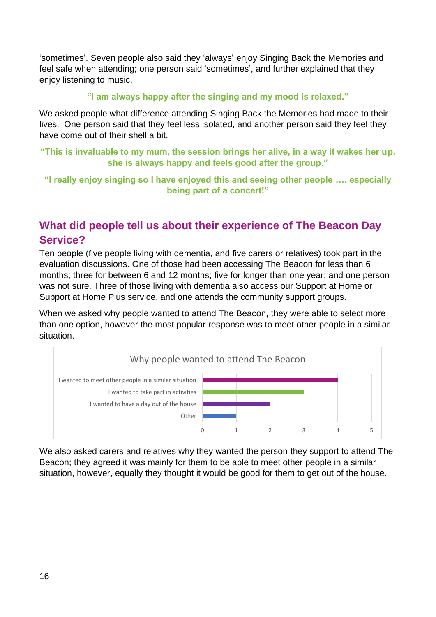'sometimes'. Seven people also said they 'always' enjoy Singing Back the Memories and feel safe when attending; one person said 'sometimes', and further explained that they enjoy listening to music.

### **"I am always happy after the singing and my mood is relaxed."**

We asked people what difference attending Singing Back the Memories had made to their lives. One person said that they feel less isolated, and another person said they feel they have come out of their shell a bit.

**"This is invaluable to my mum, the session brings her alive, in a way it wakes her up, she is always happy and feels good after the group."**

**"I really enjoy singing so I have enjoyed this and seeing other people …. especially being part of a concert!"**

# <span id="page-15-0"></span>**What did people tell us about their experience of The Beacon Day Service?**

Ten people (five people living with dementia, and five carers or relatives) took part in the evaluation discussions. One of those had been accessing The Beacon for less than 6 months; three for between 6 and 12 months; five for longer than one year; and one person was not sure. Three of those living with dementia also access our Support at Home or Support at Home Plus service, and one attends the community support groups.

When we asked why people wanted to attend The Beacon, they were able to select more than one option, however the most popular response was to meet other people in a similar situation.



We also asked carers and relatives why they wanted the person they support to attend The Beacon; they agreed it was mainly for them to be able to meet other people in a similar situation, however, equally they thought it would be good for them to get out of the house.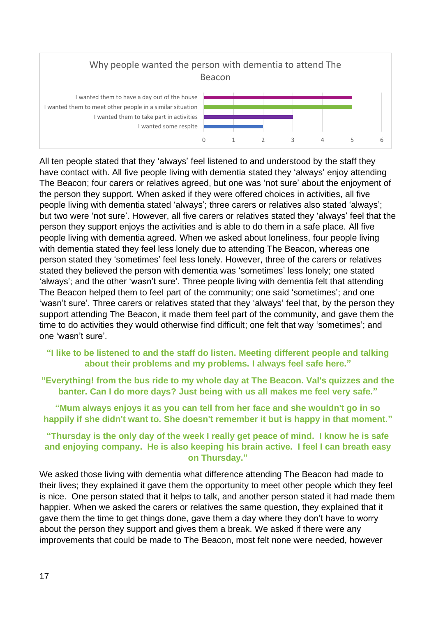

All ten people stated that they 'always' feel listened to and understood by the staff they have contact with. All five people living with dementia stated they 'always' enjoy attending The Beacon; four carers or relatives agreed, but one was 'not sure' about the enjoyment of the person they support. When asked if they were offered choices in activities, all five people living with dementia stated 'always'; three carers or relatives also stated 'always'; but two were 'not sure'. However, all five carers or relatives stated they 'always' feel that the person they support enjoys the activities and is able to do them in a safe place. All five people living with dementia agreed. When we asked about loneliness, four people living with dementia stated they feel less lonely due to attending The Beacon, whereas one person stated they 'sometimes' feel less lonely. However, three of the carers or relatives stated they believed the person with dementia was 'sometimes' less lonely; one stated 'always'; and the other 'wasn't sure'. Three people living with dementia felt that attending The Beacon helped them to feel part of the community; one said 'sometimes'; and one 'wasn't sure'. Three carers or relatives stated that they 'always' feel that, by the person they support attending The Beacon, it made them feel part of the community, and gave them the time to do activities they would otherwise find difficult; one felt that way 'sometimes'; and one 'wasn't sure'.

### **"I like to be listened to and the staff do listen. Meeting different people and talking about their problems and my problems. I always feel safe here."**

**"Everything! from the bus ride to my whole day at The Beacon. Val's quizzes and the banter. Can I do more days? Just being with us all makes me feel very safe."**

**"Mum always enjoys it as you can tell from her face and she wouldn't go in so happily if she didn't want to. She doesn't remember it but is happy in that moment."**

### **"Thursday is the only day of the week I really get peace of mind. I know he is safe and enjoying company. He is also keeping his brain active. I feel I can breath easy on Thursday."**

We asked those living with dementia what difference attending The Beacon had made to their lives; they explained it gave them the opportunity to meet other people which they feel is nice. One person stated that it helps to talk, and another person stated it had made them happier. When we asked the carers or relatives the same question, they explained that it gave them the time to get things done, gave them a day where they don't have to worry about the person they support and gives them a break. We asked if there were any improvements that could be made to The Beacon, most felt none were needed, however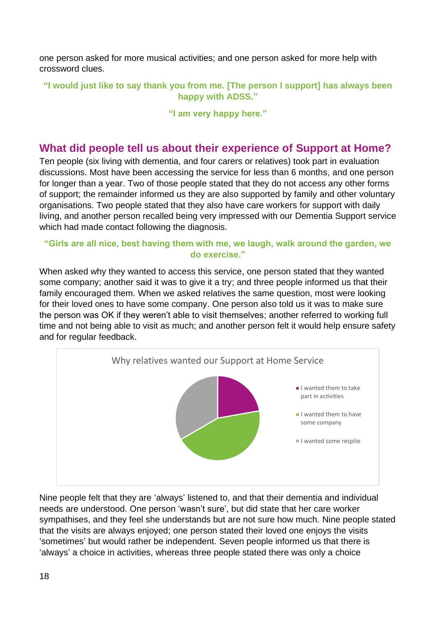one person asked for more musical activities; and one person asked for more help with crossword clues.

**"I would just like to say thank you from me. [The person I support] has always been happy with ADSS."**

**"I am very happy here."**

### <span id="page-17-0"></span>**What did people tell us about their experience of Support at Home?**

Ten people (six living with dementia, and four carers or relatives) took part in evaluation discussions. Most have been accessing the service for less than 6 months, and one person for longer than a year. Two of those people stated that they do not access any other forms of support; the remainder informed us they are also supported by family and other voluntary organisations. Two people stated that they also have care workers for support with daily living, and another person recalled being very impressed with our Dementia Support service which had made contact following the diagnosis.

### **"Girls are all nice, best having them with me, we laugh, walk around the garden, we do exercise."**

When asked why they wanted to access this service, one person stated that they wanted some company; another said it was to give it a try; and three people informed us that their family encouraged them. When we asked relatives the same question, most were looking for their loved ones to have some company. One person also told us it was to make sure the person was OK if they weren't able to visit themselves; another referred to working full time and not being able to visit as much; and another person felt it would help ensure safety and for regular feedback.



Nine people felt that they are 'always' listened to, and that their dementia and individual needs are understood. One person 'wasn't sure', but did state that her care worker sympathises, and they feel she understands but are not sure how much. Nine people stated that the visits are always enjoyed; one person stated their loved one enjoys the visits 'sometimes' but would rather be independent. Seven people informed us that there is 'always' a choice in activities, whereas three people stated there was only a choice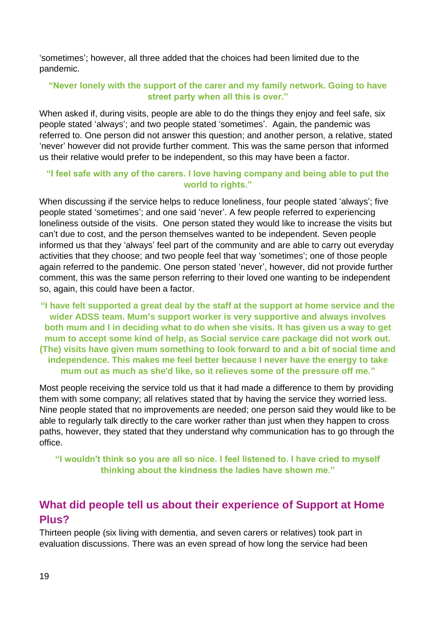'sometimes'; however, all three added that the choices had been limited due to the pandemic.

### **"Never lonely with the support of the carer and my family network. Going to have street party when all this is over."**

When asked if, during visits, people are able to do the things they enjoy and feel safe, six people stated 'always'; and two people stated 'sometimes'. Again, the pandemic was referred to. One person did not answer this question; and another person, a relative, stated 'never' however did not provide further comment. This was the same person that informed us their relative would prefer to be independent, so this may have been a factor.

### **"I feel safe with any of the carers. I love having company and being able to put the world to rights."**

When discussing if the service helps to reduce loneliness, four people stated 'always'; five people stated 'sometimes'; and one said 'never'. A few people referred to experiencing loneliness outside of the visits. One person stated they would like to increase the visits but can't due to cost, and the person themselves wanted to be independent. Seven people informed us that they 'always' feel part of the community and are able to carry out everyday activities that they choose; and two people feel that way 'sometimes'; one of those people again referred to the pandemic. One person stated 'never', however, did not provide further comment, this was the same person referring to their loved one wanting to be independent so, again, this could have been a factor.

**"I have felt supported a great deal by the staff at the support at home service and the wider ADSS team. Mum's support worker is very supportive and always involves both mum and I in deciding what to do when she visits. It has given us a way to get mum to accept some kind of help, as Social service care package did not work out. (The) visits have given mum something to look forward to and a bit of social time and independence. This makes me feel better because I never have the energy to take mum out as much as she'd like, so it relieves some of the pressure off me."**

Most people receiving the service told us that it had made a difference to them by providing them with some company; all relatives stated that by having the service they worried less. Nine people stated that no improvements are needed; one person said they would like to be able to regularly talk directly to the care worker rather than just when they happen to cross paths, however, they stated that they understand why communication has to go through the office.

**"I wouldn't think so you are all so nice. I feel listened to. I have cried to myself thinking about the kindness the ladies have shown me."**

# <span id="page-18-0"></span>**What did people tell us about their experience of Support at Home Plus?**

Thirteen people (six living with dementia, and seven carers or relatives) took part in evaluation discussions. There was an even spread of how long the service had been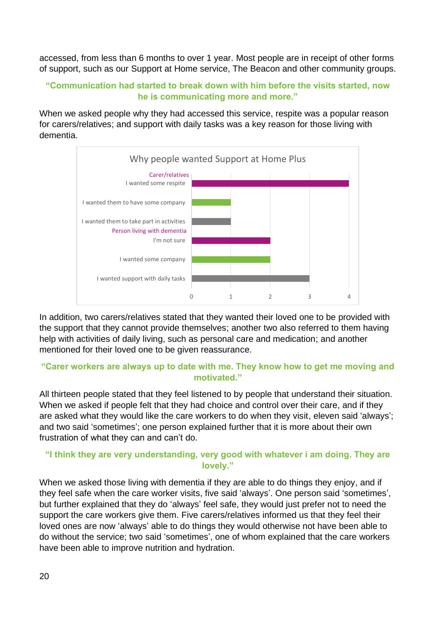accessed, from less than 6 months to over 1 year. Most people are in receipt of other forms of support, such as our Support at Home service, The Beacon and other community groups.

### **"Communication had started to break down with him before the visits started, now he is communicating more and more."**

When we asked people why they had accessed this service, respite was a popular reason for carers/relatives; and support with daily tasks was a key reason for those living with dementia.



In addition, two carers/relatives stated that they wanted their loved one to be provided with the support that they cannot provide themselves; another two also referred to them having help with activities of daily living, such as personal care and medication; and another mentioned for their loved one to be given reassurance.

### **"Carer workers are always up to date with me. They know how to get me moving and motivated."**

All thirteen people stated that they feel listened to by people that understand their situation. When we asked if people felt that they had choice and control over their care, and if they are asked what they would like the care workers to do when they visit, eleven said 'always'; and two said 'sometimes'; one person explained further that it is more about their own frustration of what they can and can't do.

### **"I think they are very understanding, very good with whatever i am doing. They are lovely."**

When we asked those living with dementia if they are able to do things they enjoy, and if they feel safe when the care worker visits, five said 'always'. One person said 'sometimes', but further explained that they do 'always' feel safe, they would just prefer not to need the support the care workers give them. Five carers/relatives informed us that they feel their loved ones are now 'always' able to do things they would otherwise not have been able to do without the service; two said 'sometimes', one of whom explained that the care workers have been able to improve nutrition and hydration.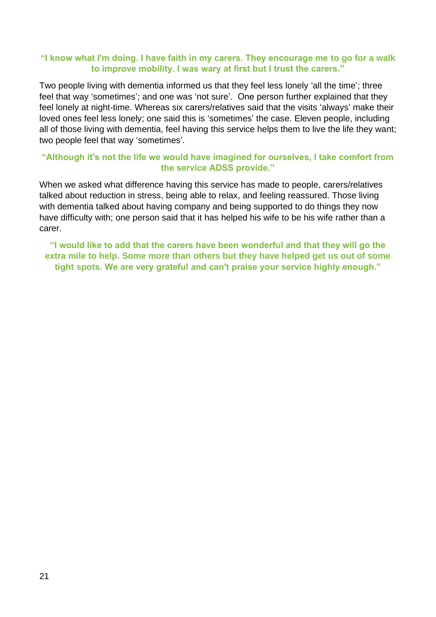### **"I know what I'm doing. I have faith in my carers. They encourage me to go for a walk to improve mobility. I was wary at first but I trust the carers."**

Two people living with dementia informed us that they feel less lonely 'all the time'; three feel that way 'sometimes'; and one was 'not sure'. One person further explained that they feel lonely at night-time. Whereas six carers/relatives said that the visits 'always' make their loved ones feel less lonely; one said this is 'sometimes' the case. Eleven people, including all of those living with dementia, feel having this service helps them to live the life they want; two people feel that way 'sometimes'.

### **"Although it's not the life we would have imagined for ourselves, I take comfort from the service ADSS provide."**

When we asked what difference having this service has made to people, carers/relatives talked about reduction in stress, being able to relax, and feeling reassured. Those living with dementia talked about having company and being supported to do things they now have difficulty with; one person said that it has helped his wife to be his wife rather than a carer.

**"I would like to add that the carers have been wonderful and that they will go the extra mile to help. Some more than others but they have helped get us out of some tight spots. We are very grateful and can't praise your service highly enough."**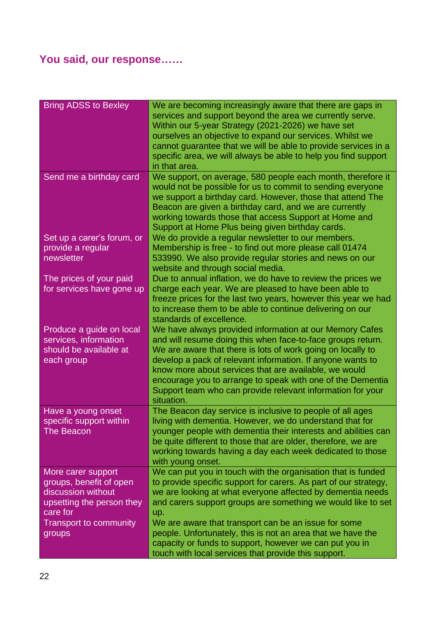# <span id="page-21-0"></span>**You said, our response……**

| <b>Bring ADSS to Bexley</b> | We are becoming increasingly aware that there are gaps in        |
|-----------------------------|------------------------------------------------------------------|
|                             | services and support beyond the area we currently serve.         |
|                             | Within our 5-year Strategy (2021-2026) we have set               |
|                             | ourselves an objective to expand our services. Whilst we         |
|                             | cannot guarantee that we will be able to provide services in a   |
|                             | specific area, we will always be able to help you find support   |
|                             | in that area.                                                    |
| Send me a birthday card     | We support, on average, 580 people each month, therefore it      |
|                             | would not be possible for us to commit to sending everyone       |
|                             | we support a birthday card. However, those that attend The       |
|                             | Beacon are given a birthday card, and we are currently           |
|                             | working towards those that access Support at Home and            |
|                             | Support at Home Plus being given birthday cards.                 |
| Set up a carer's forum, or  | We do provide a regular newsletter to our members.               |
| provide a regular           | Membership is free - to find out more please call 01474          |
| newsletter                  | 533990. We also provide regular stories and news on our          |
|                             | website and through social media.                                |
| The prices of your paid     | Due to annual inflation, we do have to review the prices we      |
| for services have gone up   | charge each year. We are pleased to have been able to            |
|                             | freeze prices for the last two years, however this year we had   |
|                             | to increase them to be able to continue delivering on our        |
|                             | standards of excellence.                                         |
| Produce a guide on local    | We have always provided information at our Memory Cafes          |
| services, information       | and will resume doing this when face-to-face groups return.      |
| should be available at      | We are aware that there is lots of work going on locally to      |
| each group                  | develop a pack of relevant information. If anyone wants to       |
|                             | know more about services that are available, we would            |
|                             | encourage you to arrange to speak with one of the Dementia       |
|                             | Support team who can provide relevant information for your       |
|                             | situation.                                                       |
| Have a young onset          | The Beacon day service is inclusive to people of all ages        |
| specific support within     | living with dementia. However, we do understand that for         |
| <b>The Beacon</b>           | younger people with dementia their interests and abilities can   |
|                             | be quite different to those that are older, therefore, we are    |
|                             | working towards having a day each week dedicated to those        |
|                             | with young onset.                                                |
| More carer support          | We can put you in touch with the organisation that is funded     |
| groups, benefit of open     | to provide specific support for carers. As part of our strategy, |
| discussion without          | we are looking at what everyone affected by dementia needs       |
| upsetting the person they   | and carers support groups are something we would like to set     |
| care for                    | up.                                                              |
| Transport to community      | We are aware that transport can be an issue for some             |
| groups                      | people. Unfortunately, this is not an area that we have the      |
|                             | capacity or funds to support, however we can put you in          |
|                             | touch with local services that provide this support.             |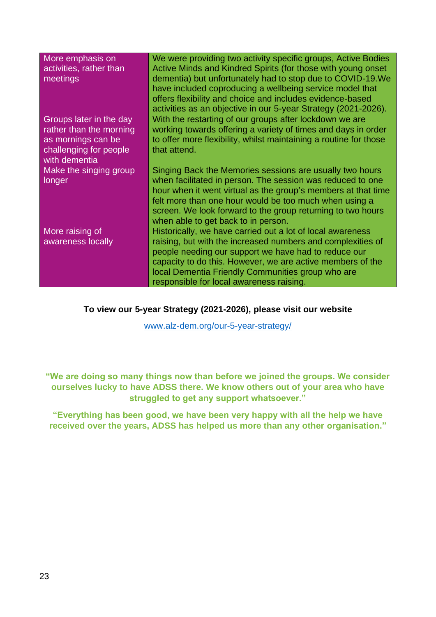| More emphasis on<br>activities, rather than<br>meetings                                                             | We were providing two activity specific groups, Active Bodies<br>Active Minds and Kindred Spirits (for those with young onset<br>dementia) but unfortunately had to stop due to COVID-19. We<br>have included coproducing a wellbeing service model that<br>offers flexibility and choice and includes evidence-based<br>activities as an objective in our 5-year Strategy (2021-2026). |
|---------------------------------------------------------------------------------------------------------------------|-----------------------------------------------------------------------------------------------------------------------------------------------------------------------------------------------------------------------------------------------------------------------------------------------------------------------------------------------------------------------------------------|
| Groups later in the day<br>rather than the morning<br>as mornings can be<br>challenging for people<br>with dementia | With the restarting of our groups after lockdown we are<br>working towards offering a variety of times and days in order<br>to offer more flexibility, whilst maintaining a routine for those<br>that attend.                                                                                                                                                                           |
| Make the singing group<br>longer                                                                                    | Singing Back the Memories sessions are usually two hours<br>when facilitated in person. The session was reduced to one<br>hour when it went virtual as the group's members at that time<br>felt more than one hour would be too much when using a<br>screen. We look forward to the group returning to two hours<br>when able to get back to in person.                                 |
| More raising of<br>awareness locally                                                                                | Historically, we have carried out a lot of local awareness<br>raising, but with the increased numbers and complexities of<br>people needing our support we have had to reduce our<br>capacity to do this. However, we are active members of the<br>local Dementia Friendly Communities group who are<br>responsible for local awareness raising.                                        |

### **To view our 5-year Strategy (2021-2026), please visit our website**

[www.alz-dem.org/our-5-year-strategy/](http://www.alz-dem.org/our-5-year-strategy/)

**"We are doing so many things now than before we joined the groups. We consider ourselves lucky to have ADSS there. We know others out of your area who have struggled to get any support whatsoever."**

**"Everything has been good, we have been very happy with all the help we have received over the years, ADSS has helped us more than any other organisation."**